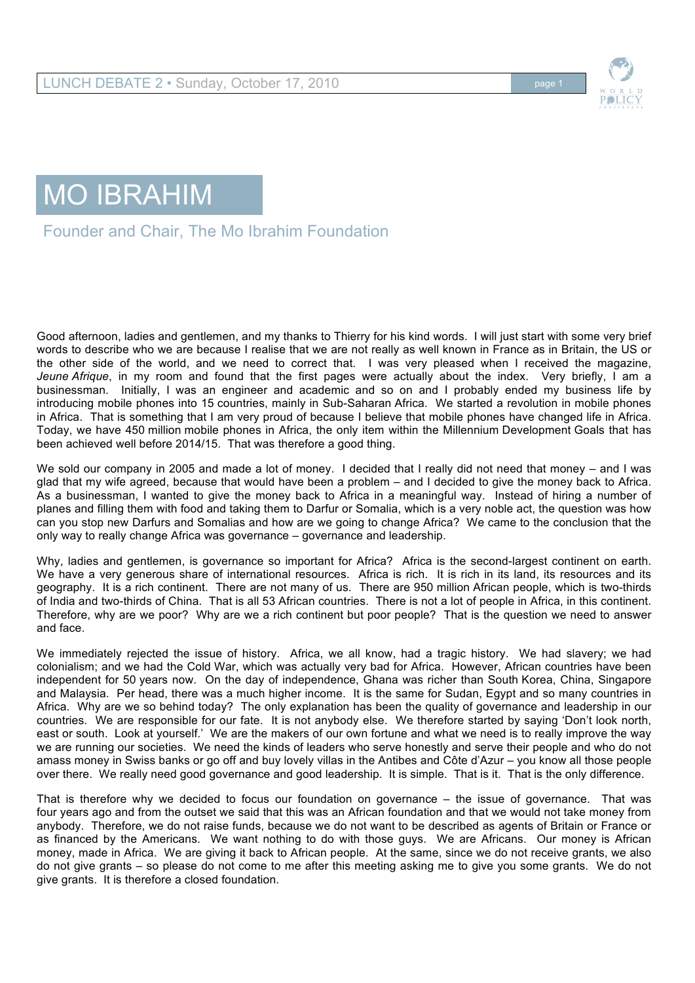

## MO IBRAHIM

## Founder and Chair, The Mo Ibrahim Foundation

Good afternoon, ladies and gentlemen, and my thanks to Thierry for his kind words. I will just start with some very brief words to describe who we are because I realise that we are not really as well known in France as in Britain, the US or the other side of the world, and we need to correct that. I was very pleased when I received the magazine, *Jeune Afrique*, in my room and found that the first pages were actually about the index. Very briefly, I am a businessman. Initially, I was an engineer and academic and so on and I probably ended my business life by introducing mobile phones into 15 countries, mainly in Sub-Saharan Africa. We started a revolution in mobile phones in Africa. That is something that I am very proud of because I believe that mobile phones have changed life in Africa. Today, we have 450 million mobile phones in Africa, the only item within the Millennium Development Goals that has been achieved well before 2014/15. That was therefore a good thing.

We sold our company in 2005 and made a lot of money. I decided that I really did not need that money – and I was glad that my wife agreed, because that would have been a problem – and I decided to give the money back to Africa. As a businessman, I wanted to give the money back to Africa in a meaningful way. Instead of hiring a number of planes and filling them with food and taking them to Darfur or Somalia, which is a very noble act, the question was how can you stop new Darfurs and Somalias and how are we going to change Africa? We came to the conclusion that the only way to really change Africa was governance – governance and leadership.

Why, ladies and gentlemen, is governance so important for Africa? Africa is the second-largest continent on earth. We have a very generous share of international resources. Africa is rich. It is rich in its land, its resources and its geography. It is a rich continent. There are not many of us. There are 950 million African people, which is two-thirds of India and two-thirds of China. That is all 53 African countries. There is not a lot of people in Africa, in this continent. Therefore, why are we poor? Why are we a rich continent but poor people? That is the question we need to answer and face.

We immediately rejected the issue of history. Africa, we all know, had a tragic history. We had slavery; we had colonialism; and we had the Cold War, which was actually very bad for Africa. However, African countries have been independent for 50 years now. On the day of independence, Ghana was richer than South Korea, China, Singapore and Malaysia. Per head, there was a much higher income. It is the same for Sudan, Egypt and so many countries in Africa. Why are we so behind today? The only explanation has been the quality of governance and leadership in our countries. We are responsible for our fate. It is not anybody else. We therefore started by saying 'Don't look north, east or south. Look at yourself.' We are the makers of our own fortune and what we need is to really improve the way we are running our societies. We need the kinds of leaders who serve honestly and serve their people and who do not amass money in Swiss banks or go off and buy lovely villas in the Antibes and Côte d'Azur – you know all those people over there. We really need good governance and good leadership. It is simple. That is it. That is the only difference.

That is therefore why we decided to focus our foundation on governance – the issue of governance. That was four years ago and from the outset we said that this was an African foundation and that we would not take money from anybody. Therefore, we do not raise funds, because we do not want to be described as agents of Britain or France or as financed by the Americans. We want nothing to do with those guys. We are Africans. Our money is African money, made in Africa. We are giving it back to African people. At the same, since we do not receive grants, we also do not give grants – so please do not come to me after this meeting asking me to give you some grants. We do not give grants. It is therefore a closed foundation.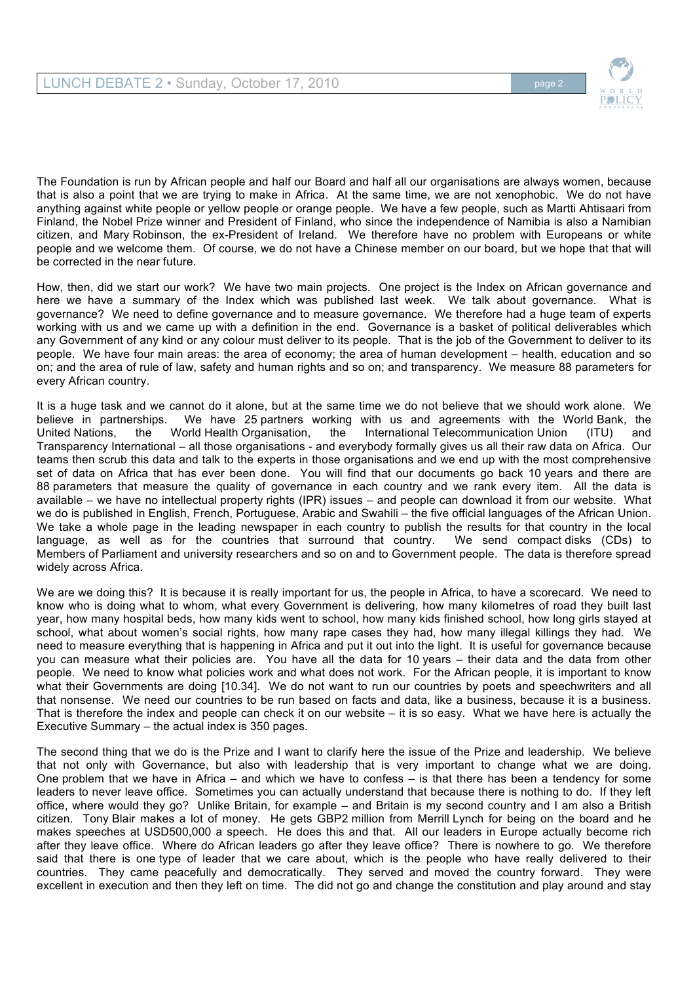

The Foundation is run by African people and half our Board and half all our organisations are always women, because that is also a point that we are trying to make in Africa. At the same time, we are not xenophobic. We do not have anything against white people or yellow people or orange people. We have a few people, such as Martti Ahtisaari from Finland, the Nobel Prize winner and President of Finland, who since the independence of Namibia is also a Namibian citizen, and Mary Robinson, the ex-President of Ireland. We therefore have no problem with Europeans or white people and we welcome them. Of course, we do not have a Chinese member on our board, but we hope that that will be corrected in the near future.

How, then, did we start our work? We have two main projects. One project is the Index on African governance and here we have a summary of the Index which was published last week. We talk about governance. What is governance? We need to define governance and to measure governance. We therefore had a huge team of experts working with us and we came up with a definition in the end. Governance is a basket of political deliverables which any Government of any kind or any colour must deliver to its people. That is the job of the Government to deliver to its people. We have four main areas: the area of economy; the area of human development – health, education and so on; and the area of rule of law, safety and human rights and so on; and transparency. We measure 88 parameters for every African country.

It is a huge task and we cannot do it alone, but at the same time we do not believe that we should work alone. We believe in partnerships. We have 25 partners working with us and agreements with the World Bank, the United Nations, the World Health Organisation, the International Telecommunication Union (ITU) and Transparency International – all those organisations - and everybody formally gives us all their raw data on Africa. Our teams then scrub this data and talk to the experts in those organisations and we end up with the most comprehensive set of data on Africa that has ever been done. You will find that our documents go back 10 years and there are 88 parameters that measure the quality of governance in each country and we rank every item. All the data is available – we have no intellectual property rights (IPR) issues – and people can download it from our website. What we do is published in English, French, Portuguese, Arabic and Swahili – the five official languages of the African Union. We take a whole page in the leading newspaper in each country to publish the results for that country in the local language, as well as for the countries that surround that country. We send compact disks (CDs) to Members of Parliament and university researchers and so on and to Government people. The data is therefore spread widely across Africa.

We are we doing this? It is because it is really important for us, the people in Africa, to have a scorecard. We need to know who is doing what to whom, what every Government is delivering, how many kilometres of road they built last year, how many hospital beds, how many kids went to school, how many kids finished school, how long girls stayed at school, what about women's social rights, how many rape cases they had, how many illegal killings they had. We need to measure everything that is happening in Africa and put it out into the light. It is useful for governance because you can measure what their policies are. You have all the data for 10 years – their data and the data from other people. We need to know what policies work and what does not work. For the African people, it is important to know what their Governments are doing [10.34]. We do not want to run our countries by poets and speechwriters and all that nonsense. We need our countries to be run based on facts and data, like a business, because it is a business. That is therefore the index and people can check it on our website – it is so easy. What we have here is actually the Executive Summary – the actual index is 350 pages.

The second thing that we do is the Prize and I want to clarify here the issue of the Prize and leadership. We believe that not only with Governance, but also with leadership that is very important to change what we are doing. One problem that we have in Africa – and which we have to confess – is that there has been a tendency for some leaders to never leave office. Sometimes you can actually understand that because there is nothing to do. If they left office, where would they go? Unlike Britain, for example – and Britain is my second country and I am also a British citizen. Tony Blair makes a lot of money. He gets GBP2 million from Merrill Lynch for being on the board and he makes speeches at USD500,000 a speech. He does this and that. All our leaders in Europe actually become rich after they leave office. Where do African leaders go after they leave office? There is nowhere to go. We therefore said that there is one type of leader that we care about, which is the people who have really delivered to their countries. They came peacefully and democratically. They served and moved the country forward. They were excellent in execution and then they left on time. The did not go and change the constitution and play around and stay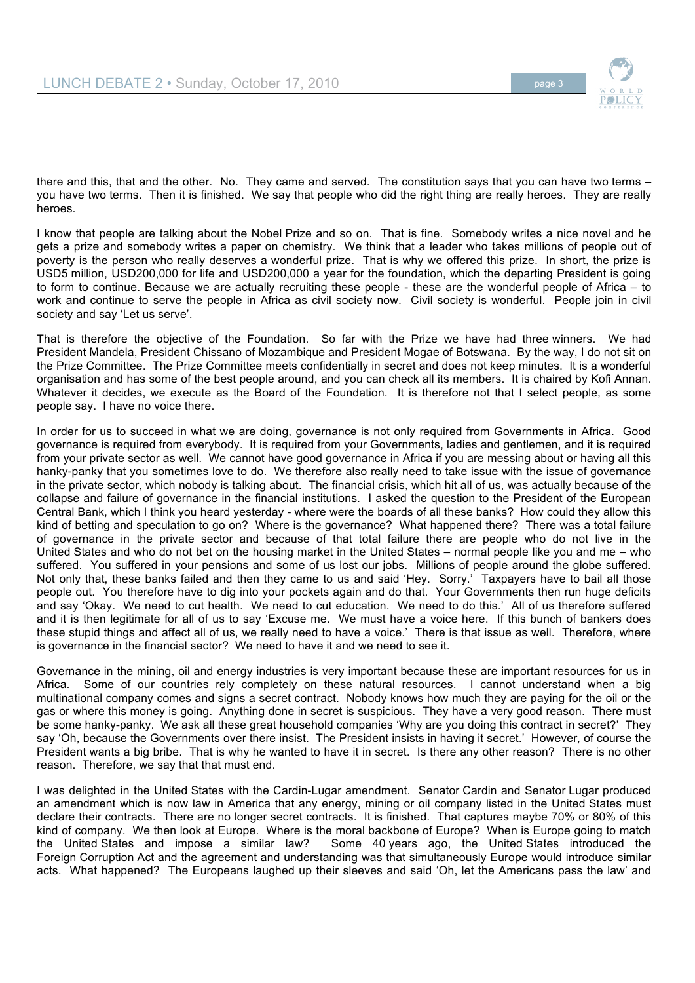

there and this, that and the other. No. They came and served. The constitution says that you can have two terms you have two terms. Then it is finished. We say that people who did the right thing are really heroes. They are really heroes.

I know that people are talking about the Nobel Prize and so on. That is fine. Somebody writes a nice novel and he gets a prize and somebody writes a paper on chemistry. We think that a leader who takes millions of people out of poverty is the person who really deserves a wonderful prize. That is why we offered this prize. In short, the prize is USD5 million, USD200,000 for life and USD200,000 a year for the foundation, which the departing President is going to form to continue. Because we are actually recruiting these people - these are the wonderful people of Africa – to work and continue to serve the people in Africa as civil society now. Civil society is wonderful. People join in civil society and say 'Let us serve'.

That is therefore the objective of the Foundation. So far with the Prize we have had three winners. We had President Mandela, President Chissano of Mozambique and President Mogae of Botswana. By the way, I do not sit on the Prize Committee. The Prize Committee meets confidentially in secret and does not keep minutes. It is a wonderful organisation and has some of the best people around, and you can check all its members. It is chaired by Kofi Annan. Whatever it decides, we execute as the Board of the Foundation. It is therefore not that I select people, as some people say. I have no voice there.

In order for us to succeed in what we are doing, governance is not only required from Governments in Africa. Good governance is required from everybody. It is required from your Governments, ladies and gentlemen, and it is required from your private sector as well. We cannot have good governance in Africa if you are messing about or having all this hanky-panky that you sometimes love to do. We therefore also really need to take issue with the issue of governance in the private sector, which nobody is talking about. The financial crisis, which hit all of us, was actually because of the collapse and failure of governance in the financial institutions. I asked the question to the President of the European Central Bank, which I think you heard yesterday - where were the boards of all these banks? How could they allow this kind of betting and speculation to go on? Where is the governance? What happened there? There was a total failure of governance in the private sector and because of that total failure there are people who do not live in the United States and who do not bet on the housing market in the United States – normal people like you and me – who suffered. You suffered in your pensions and some of us lost our jobs. Millions of people around the globe suffered. Not only that, these banks failed and then they came to us and said 'Hey. Sorry.' Taxpayers have to bail all those people out. You therefore have to dig into your pockets again and do that. Your Governments then run huge deficits and say 'Okay. We need to cut health. We need to cut education. We need to do this.' All of us therefore suffered and it is then legitimate for all of us to say 'Excuse me. We must have a voice here. If this bunch of bankers does these stupid things and affect all of us, we really need to have a voice.' There is that issue as well. Therefore, where is governance in the financial sector? We need to have it and we need to see it.

Governance in the mining, oil and energy industries is very important because these are important resources for us in Africa. Some of our countries rely completely on these natural resources. I cannot understand when a big multinational company comes and signs a secret contract. Nobody knows how much they are paying for the oil or the gas or where this money is going. Anything done in secret is suspicious. They have a very good reason. There must be some hanky-panky. We ask all these great household companies 'Why are you doing this contract in secret?' They say 'Oh, because the Governments over there insist. The President insists in having it secret.' However, of course the President wants a big bribe. That is why he wanted to have it in secret. Is there any other reason? There is no other reason. Therefore, we say that that must end.

I was delighted in the United States with the Cardin-Lugar amendment. Senator Cardin and Senator Lugar produced an amendment which is now law in America that any energy, mining or oil company listed in the United States must declare their contracts. There are no longer secret contracts. It is finished. That captures maybe 70% or 80% of this kind of company. We then look at Europe. Where is the moral backbone of Europe? When is Europe going to match the United States and impose a similar law? Some 40 years ago, the United States introduced the Foreign Corruption Act and the agreement and understanding was that simultaneously Europe would introduce similar acts. What happened? The Europeans laughed up their sleeves and said 'Oh, let the Americans pass the law' and